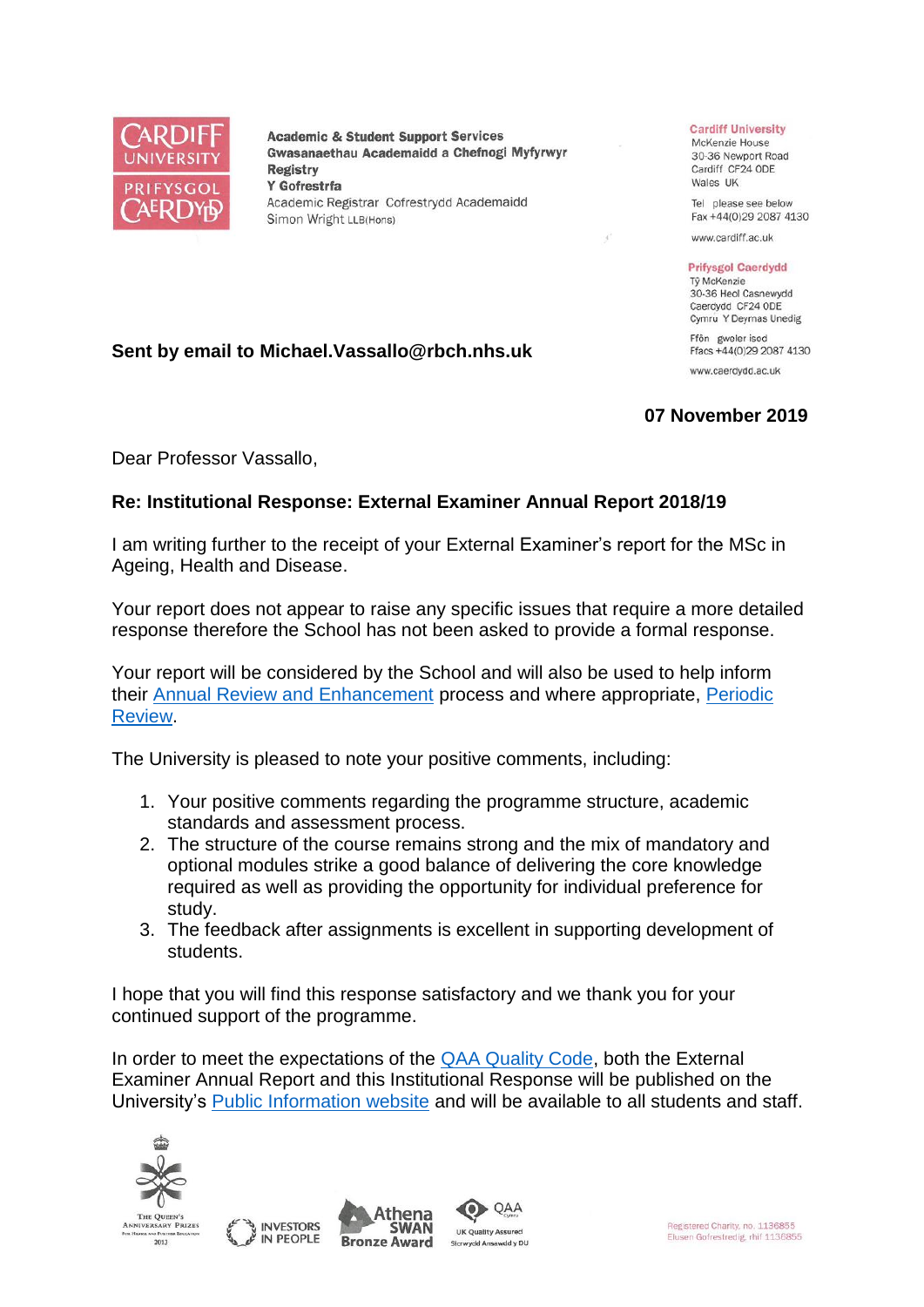

**Academic & Student Support Services** Gwasanaethau Academaidd a Chefnogi Myfyrwyr **Registry** Y Gofrestrfa Academic Registrar Cofrestrydd Academaidd Simon Wright LLB(Hons)

## **Cardiff University**

McKenzie House 30-36 Newport Road Cardiff CF24 ODE Wales UK

Tel please see below Fax +44(0)29 2087 4130

www.cardiff.ac.uk

## **Prifysgol Caerdydd**

Tỷ McKenzie 30-36 Heol Casnewydd Caerdydd CF24 ODE Cymru Y Deyrnas Unedig Ffôn gweler isod

Ffacs +44(0)29 2087 4130 www.caerdydd.ac.uk

## **07 November 2019**

Dear Professor Vassallo,

**Sent by email to Michael.Vassallo@rbch.nhs.uk**

## **Re: Institutional Response: External Examiner Annual Report 2018/19**

I am writing further to the receipt of your External Examiner's report for the MSc in Ageing, Health and Disease.

Your report does not appear to raise any specific issues that require a more detailed response therefore the School has not been asked to provide a formal response.

Your report will be considered by the School and will also be used to help inform their [Annual Review and Enhancement](https://www.cardiff.ac.uk/public-information/quality-and-standards/monitoring-and-review/annual-review-and-enhancement) process and where appropriate, [Periodic](http://www.cardiff.ac.uk/public-information/quality-and-standards/monitoring-and-review/periodic-review)  [Review.](http://www.cardiff.ac.uk/public-information/quality-and-standards/monitoring-and-review/periodic-review)

The University is pleased to note your positive comments, including:

- 1. Your positive comments regarding the programme structure, academic standards and assessment process.
- 2. The structure of the course remains strong and the mix of mandatory and optional modules strike a good balance of delivering the core knowledge required as well as providing the opportunity for individual preference for study.
- 3. The feedback after assignments is excellent in supporting development of students.

I hope that you will find this response satisfactory and we thank you for your continued support of the programme.

In order to meet the expectations of the [QAA Quality Code,](http://www.qaa.ac.uk/quality-code/the-revised-uk-quality-code) both the External Examiner Annual Report and this Institutional Response will be published on the University's [Public Information website](http://www.cardiff.ac.uk/public-information/quality-and-standards/external-examiner-reports) and will be available to all students and staff.